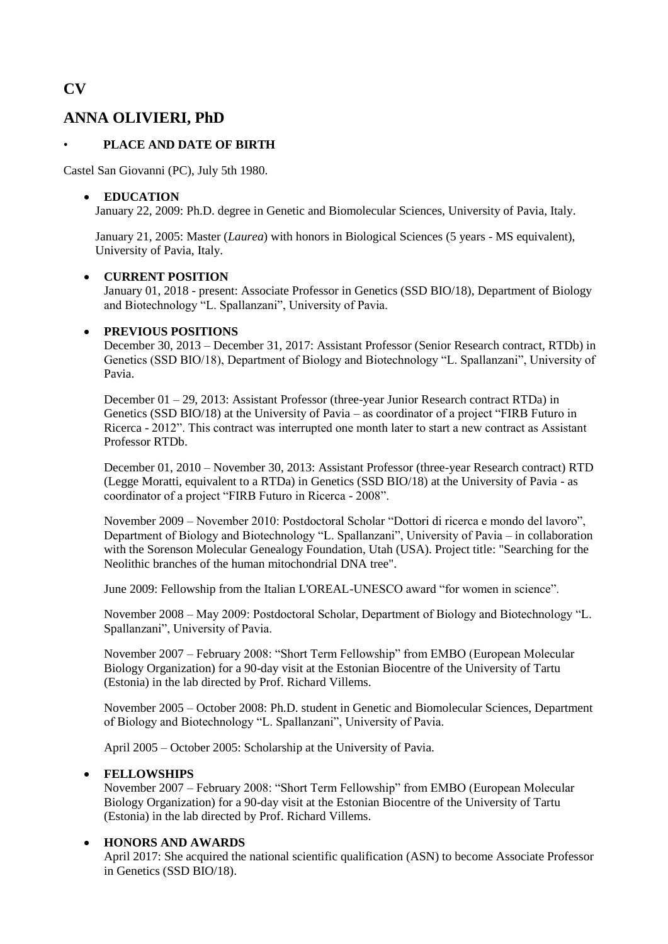# **ANNA OLIVIERI, PhD**

## • **PLACE AND DATE OF BIRTH**

Castel San Giovanni (PC), July 5th 1980.

### **EDUCATION**

January 22, 2009: Ph.D. degree in Genetic and Biomolecular Sciences, University of Pavia, Italy.

January 21, 2005: Master (*Laurea*) with honors in Biological Sciences (5 years - MS equivalent), University of Pavia, Italy.

### **CURRENT POSITION**

January 01, 2018 - present: Associate Professor in Genetics (SSD BIO/18), Department of Biology and Biotechnology "L. Spallanzani", University of Pavia.

#### **PREVIOUS POSITIONS**

December 30, 2013 – December 31, 2017: Assistant Professor (Senior Research contract, RTDb) in Genetics (SSD BIO/18), Department of Biology and Biotechnology "L. Spallanzani", University of Pavia.

December 01 – 29, 2013: Assistant Professor (three-year Junior Research contract RTDa) in Genetics (SSD BIO/18) at the University of Pavia – as coordinator of a project "FIRB Futuro in Ricerca - 2012". This contract was interrupted one month later to start a new contract as Assistant Professor RTDb.

December 01, 2010 – November 30, 2013: Assistant Professor (three-year Research contract) RTD (Legge Moratti, equivalent to a RTDa) in Genetics (SSD BIO/18) at the University of Pavia - as coordinator of a project "FIRB Futuro in Ricerca - 2008".

November 2009 – November 2010: Postdoctoral Scholar "Dottori di ricerca e mondo del lavoro", Department of Biology and Biotechnology "L. Spallanzani", University of Pavia – in collaboration with the Sorenson Molecular Genealogy Foundation, Utah (USA). Project title: "Searching for the Neolithic branches of the human mitochondrial DNA tree".

June 2009: Fellowship from the Italian L'OREAL-UNESCO award "for women in science".

November 2008 – May 2009: Postdoctoral Scholar, Department of Biology and Biotechnology "L. Spallanzani", University of Pavia.

November 2007 – February 2008: "Short Term Fellowship" from EMBO (European Molecular Biology Organization) for a 90-day visit at the Estonian Biocentre of the University of Tartu (Estonia) in the lab directed by Prof. Richard Villems.

November 2005 – October 2008: Ph.D. student in Genetic and Biomolecular Sciences, Department of Biology and Biotechnology "L. Spallanzani", University of Pavia.

April 2005 – October 2005: Scholarship at the University of Pavia.

### **FELLOWSHIPS**

November 2007 – February 2008: "Short Term Fellowship" from EMBO (European Molecular Biology Organization) for a 90-day visit at the Estonian Biocentre of the University of Tartu (Estonia) in the lab directed by Prof. Richard Villems.

### **HONORS AND AWARDS**

April 2017: She acquired the national scientific qualification (ASN) to become Associate Professor in Genetics (SSD BIO/18).

# **CV**